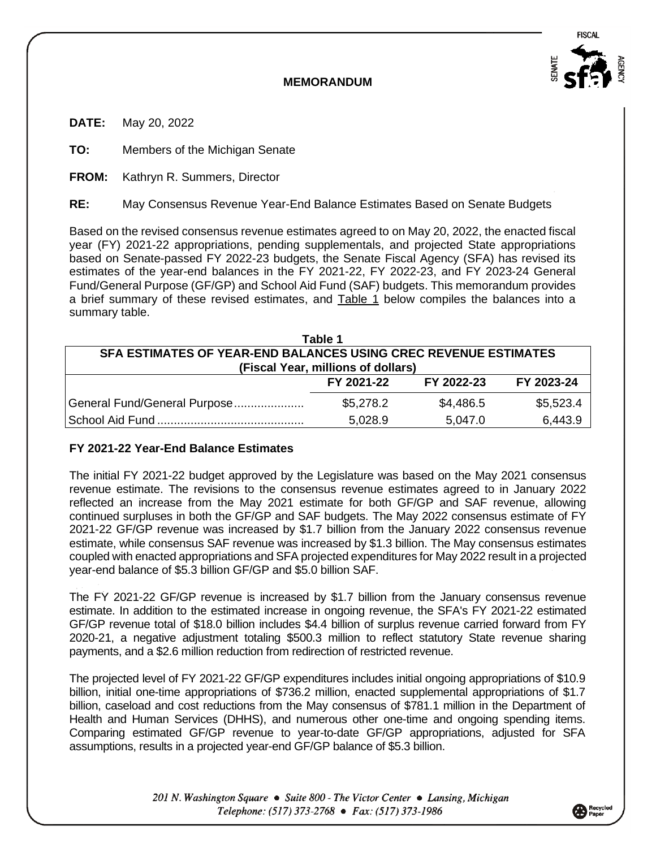

## **MEMORANDUM**

**DATE:** May 20, 2022

**TO:** Members of the Michigan Senate

**FROM:** Kathryn R. Summers, Director

**RE:** May Consensus Revenue Year-End Balance Estimates Based on Senate Budgets

Based on the revised consensus revenue estimates agreed to on May 20, 2022, the enacted fiscal year (FY) 2021-22 appropriations, pending supplementals, and projected State appropriations based on Senate-passed FY 2022-23 budgets, the Senate Fiscal Agency (SFA) has revised its estimates of the year-end balances in the FY 2021-22, FY 2022-23, and FY 2023-24 General Fund/General Purpose (GF/GP) and School Aid Fund (SAF) budgets. This memorandum provides a brief summary of these revised estimates, and Table 1 below compiles the balances into a summary table.

| Table 1                                                         |            |            |            |  |  |  |
|-----------------------------------------------------------------|------------|------------|------------|--|--|--|
| SFA ESTIMATES OF YEAR-END BALANCES USING CREC REVENUE ESTIMATES |            |            |            |  |  |  |
| (Fiscal Year, millions of dollars)                              |            |            |            |  |  |  |
|                                                                 | FY 2021-22 | FY 2022-23 | FY 2023-24 |  |  |  |
| General Fund/General Purpose                                    | \$5,278.2  | \$4,486.5  | \$5,523.4  |  |  |  |
|                                                                 | 5,028.9    | 5,047.0    | 6,443.9    |  |  |  |

## **FY 2021-22 Year-End Balance Estimates**

The initial FY 2021-22 budget approved by the Legislature was based on the May 2021 consensus revenue estimate. The revisions to the consensus revenue estimates agreed to in January 2022 reflected an increase from the May 2021 estimate for both GF/GP and SAF revenue, allowing continued surpluses in both the GF/GP and SAF budgets. The May 2022 consensus estimate of FY 2021-22 GF/GP revenue was increased by \$1.7 billion from the January 2022 consensus revenue estimate, while consensus SAF revenue was increased by \$1.3 billion. The May consensus estimates coupled with enacted appropriations and SFA projected expenditures for May 2022 result in a projected year-end balance of \$5.3 billion GF/GP and \$5.0 billion SAF.

The FY 2021-22 GF/GP revenue is increased by \$1.7 billion from the January consensus revenue estimate. In addition to the estimated increase in ongoing revenue, the SFA's FY 2021-22 estimated GF/GP revenue total of \$18.0 billion includes \$4.4 billion of surplus revenue carried forward from FY 2020-21, a negative adjustment totaling \$500.3 million to reflect statutory State revenue sharing payments, and a \$2.6 million reduction from redirection of restricted revenue.

The projected level of FY 2021-22 GF/GP expenditures includes initial ongoing appropriations of \$10.9 billion, initial one-time appropriations of \$736.2 million, enacted supplemental appropriations of \$1.7 billion, caseload and cost reductions from the May consensus of \$781.1 million in the Department of Health and Human Services (DHHS), and numerous other one-time and ongoing spending items. Comparing estimated GF/GP revenue to year-to-date GF/GP appropriations, adjusted for SFA assumptions, results in a projected year-end GF/GP balance of \$5.3 billion.

> 201 N. Washington Square • Suite 800 - The Victor Center • Lansing, Michigan Telephone: (517) 373-2768 • Fax: (517) 373-1986

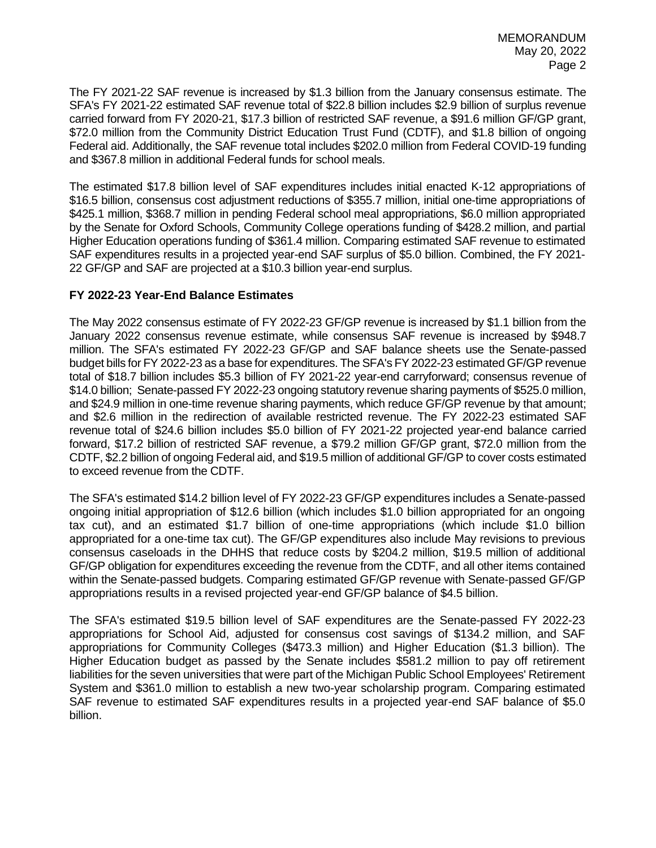The FY 2021-22 SAF revenue is increased by \$1.3 billion from the January consensus estimate. The SFA's FY 2021-22 estimated SAF revenue total of \$22.8 billion includes \$2.9 billion of surplus revenue carried forward from FY 2020-21, \$17.3 billion of restricted SAF revenue, a \$91.6 million GF/GP grant, \$72.0 million from the Community District Education Trust Fund (CDTF), and \$1.8 billion of ongoing Federal aid. Additionally, the SAF revenue total includes \$202.0 million from Federal COVID-19 funding and \$367.8 million in additional Federal funds for school meals.

The estimated \$17.8 billion level of SAF expenditures includes initial enacted K-12 appropriations of \$16.5 billion, consensus cost adjustment reductions of \$355.7 million, initial one-time appropriations of \$425.1 million, \$368.7 million in pending Federal school meal appropriations, \$6.0 million appropriated by the Senate for Oxford Schools, Community College operations funding of \$428.2 million, and partial Higher Education operations funding of \$361.4 million. Comparing estimated SAF revenue to estimated SAF expenditures results in a projected year-end SAF surplus of \$5.0 billion. Combined, the FY 2021- 22 GF/GP and SAF are projected at a \$10.3 billion year-end surplus.

## **FY 2022-23 Year-End Balance Estimates**

The May 2022 consensus estimate of FY 2022-23 GF/GP revenue is increased by \$1.1 billion from the January 2022 consensus revenue estimate, while consensus SAF revenue is increased by \$948.7 million. The SFA's estimated FY 2022-23 GF/GP and SAF balance sheets use the Senate-passed budget bills for FY 2022-23 as a base for expenditures. The SFA's FY 2022-23 estimated GF/GP revenue total of \$18.7 billion includes \$5.3 billion of FY 2021-22 year-end carryforward; consensus revenue of \$14.0 billion; Senate-passed FY 2022-23 ongoing statutory revenue sharing payments of \$525.0 million, and \$24.9 million in one-time revenue sharing payments, which reduce GF/GP revenue by that amount; and \$2.6 million in the redirection of available restricted revenue. The FY 2022-23 estimated SAF revenue total of \$24.6 billion includes \$5.0 billion of FY 2021-22 projected year-end balance carried forward, \$17.2 billion of restricted SAF revenue, a \$79.2 million GF/GP grant, \$72.0 million from the CDTF, \$2.2 billion of ongoing Federal aid, and \$19.5 million of additional GF/GP to cover costs estimated to exceed revenue from the CDTF.

The SFA's estimated \$14.2 billion level of FY 2022-23 GF/GP expenditures includes a Senate-passed ongoing initial appropriation of \$12.6 billion (which includes \$1.0 billion appropriated for an ongoing tax cut), and an estimated \$1.7 billion of one-time appropriations (which include \$1.0 billion appropriated for a one-time tax cut). The GF/GP expenditures also include May revisions to previous consensus caseloads in the DHHS that reduce costs by \$204.2 million, \$19.5 million of additional GF/GP obligation for expenditures exceeding the revenue from the CDTF, and all other items contained within the Senate-passed budgets. Comparing estimated GF/GP revenue with Senate-passed GF/GP appropriations results in a revised projected year-end GF/GP balance of \$4.5 billion.

The SFA's estimated \$19.5 billion level of SAF expenditures are the Senate-passed FY 2022-23 appropriations for School Aid, adjusted for consensus cost savings of \$134.2 million, and SAF appropriations for Community Colleges (\$473.3 million) and Higher Education (\$1.3 billion). The Higher Education budget as passed by the Senate includes \$581.2 million to pay off retirement liabilities for the seven universities that were part of the Michigan Public School Employees' Retirement System and \$361.0 million to establish a new two-year scholarship program. Comparing estimated SAF revenue to estimated SAF expenditures results in a projected year-end SAF balance of \$5.0 billion.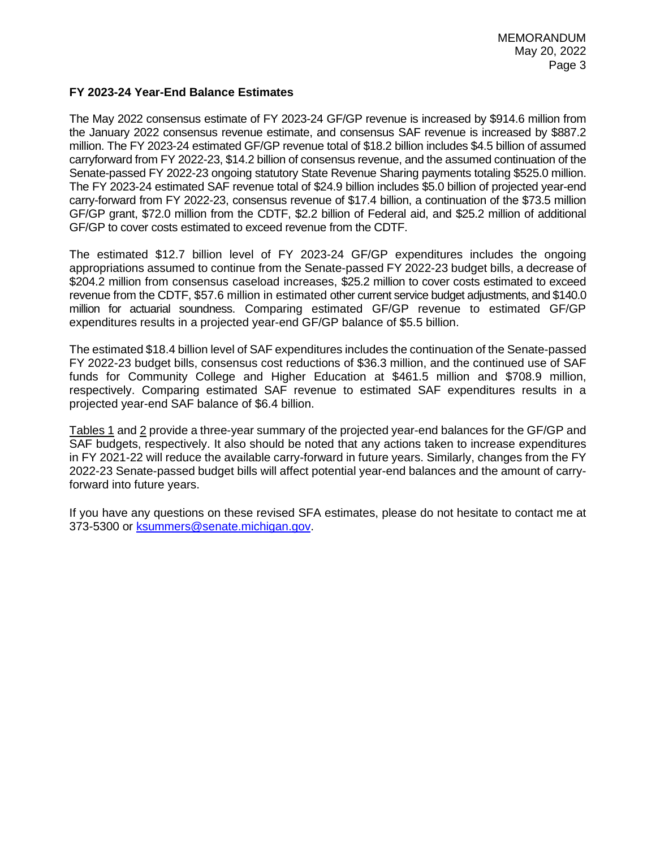## **FY 2023-24 Year-End Balance Estimates**

The May 2022 consensus estimate of FY 2023-24 GF/GP revenue is increased by \$914.6 million from the January 2022 consensus revenue estimate, and consensus SAF revenue is increased by \$887.2 million. The FY 2023-24 estimated GF/GP revenue total of \$18.2 billion includes \$4.5 billion of assumed carryforward from FY 2022-23, \$14.2 billion of consensus revenue, and the assumed continuation of the Senate-passed FY 2022-23 ongoing statutory State Revenue Sharing payments totaling \$525.0 million. The FY 2023-24 estimated SAF revenue total of \$24.9 billion includes \$5.0 billion of projected year-end carry-forward from FY 2022-23, consensus revenue of \$17.4 billion, a continuation of the \$73.5 million GF/GP grant, \$72.0 million from the CDTF, \$2.2 billion of Federal aid, and \$25.2 million of additional GF/GP to cover costs estimated to exceed revenue from the CDTF.

The estimated \$12.7 billion level of FY 2023-24 GF/GP expenditures includes the ongoing appropriations assumed to continue from the Senate-passed FY 2022-23 budget bills, a decrease of \$204.2 million from consensus caseload increases, \$25.2 million to cover costs estimated to exceed revenue from the CDTF, \$57.6 million in estimated other current service budget adjustments, and \$140.0 million for actuarial soundness. Comparing estimated GF/GP revenue to estimated GF/GP expenditures results in a projected year-end GF/GP balance of \$5.5 billion.

The estimated \$18.4 billion level of SAF expenditures includes the continuation of the Senate-passed FY 2022-23 budget bills, consensus cost reductions of \$36.3 million, and the continued use of SAF funds for Community College and Higher Education at \$461.5 million and \$708.9 million, respectively. Comparing estimated SAF revenue to estimated SAF expenditures results in a projected year-end SAF balance of \$6.4 billion.

Tables 1 and 2 provide a three-year summary of the projected year-end balances for the GF/GP and SAF budgets, respectively. It also should be noted that any actions taken to increase expenditures in FY 2021-22 will reduce the available carry-forward in future years. Similarly, changes from the FY 2022-23 Senate-passed budget bills will affect potential year-end balances and the amount of carryforward into future years.

If you have any questions on these revised SFA estimates, please do not hesitate to contact me at 373-5300 or [ksummers@senate.michigan.gov.](mailto:ksummers@senate.michigan.gov)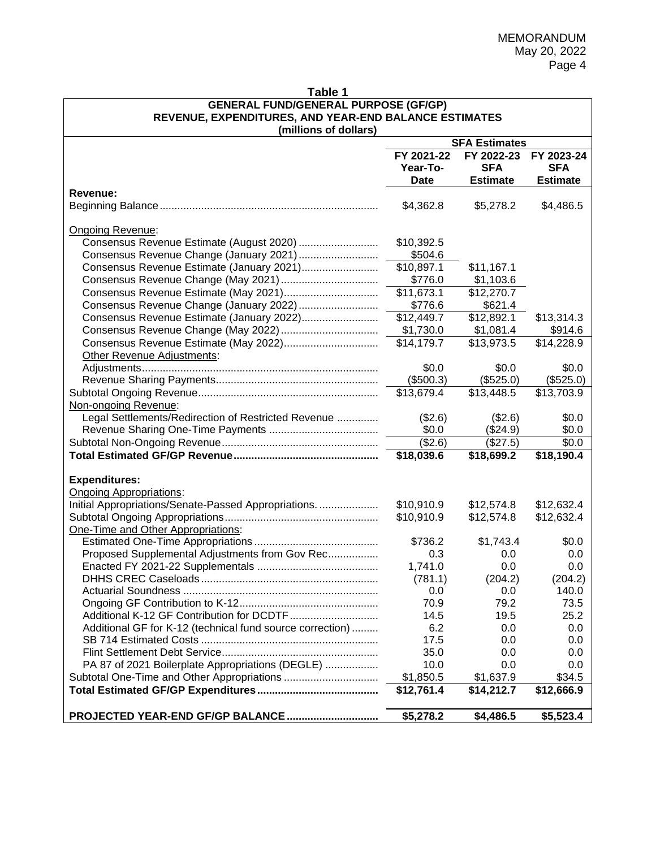| <b>GENERAL FUND/GENERAL PURPOSE (GF/GP)</b><br>REVENUE, EXPENDITURES, AND YEAR-END BALANCE ESTIMATES |                                |                                             |                                             |  |  |
|------------------------------------------------------------------------------------------------------|--------------------------------|---------------------------------------------|---------------------------------------------|--|--|
| (millions of dollars)                                                                                | <b>SFA Estimates</b>           |                                             |                                             |  |  |
|                                                                                                      | FY 2021-22<br>Year-To-<br>Date | FY 2022-23<br><b>SFA</b><br><b>Estimate</b> | FY 2023-24<br><b>SFA</b><br><b>Estimate</b> |  |  |
| Revenue:                                                                                             | \$4,362.8                      | \$5,278.2                                   | \$4,486.5                                   |  |  |
| Ongoing Revenue:                                                                                     |                                |                                             |                                             |  |  |
| Consensus Revenue Estimate (August 2020)                                                             | \$10,392.5                     |                                             |                                             |  |  |
| Consensus Revenue Change (January 2021)                                                              | \$504.6                        |                                             |                                             |  |  |
| Consensus Revenue Estimate (January 2021)                                                            | \$10,897.1                     | \$11,167.1                                  |                                             |  |  |
|                                                                                                      | \$776.0                        | \$1,103.6                                   |                                             |  |  |
|                                                                                                      | \$11,673.1                     | \$12,270.7                                  |                                             |  |  |
| Consensus Revenue Change (January 2022)                                                              | \$776.6                        | \$621.4                                     |                                             |  |  |
| Consensus Revenue Estimate (January 2022)                                                            | \$12,449.7                     | $\overline{$}12,892.1$                      | \$13,314.3                                  |  |  |
|                                                                                                      | \$1,730.0                      | \$1,081.4                                   | \$914.6                                     |  |  |
|                                                                                                      | \$14,179.7                     | \$13,973.5                                  | \$14,228.9                                  |  |  |
| Other Revenue Adjustments:                                                                           |                                |                                             |                                             |  |  |
|                                                                                                      | \$0.0                          | \$0.0                                       | \$0.0                                       |  |  |
|                                                                                                      | (\$500.3)                      | (\$525.0)                                   | (\$525.0)                                   |  |  |
|                                                                                                      | \$13,679.4                     | \$13,448.5                                  | \$13,703.9                                  |  |  |
| Non-ongoing Revenue:                                                                                 |                                |                                             |                                             |  |  |
| Legal Settlements/Redirection of Restricted Revenue                                                  | (\$2.6)                        | (\$2.6)                                     | \$0.0                                       |  |  |
|                                                                                                      | \$0.0                          | (\$24.9)                                    | \$0.0                                       |  |  |
|                                                                                                      | (\$2.6)                        | (\$27.5)                                    | \$0.0                                       |  |  |
|                                                                                                      | \$18,039.6                     | \$18,699.2                                  | \$18,190.4                                  |  |  |
| <b>Expenditures:</b>                                                                                 |                                |                                             |                                             |  |  |
| <b>Ongoing Appropriations:</b>                                                                       |                                |                                             |                                             |  |  |
| Initial Appropriations/Senate-Passed Appropriations.                                                 | \$10,910.9                     | \$12,574.8                                  | \$12,632.4                                  |  |  |
|                                                                                                      | \$10,910.9                     | \$12,574.8                                  | \$12,632.4                                  |  |  |
| One-Time and Other Appropriations:                                                                   |                                |                                             |                                             |  |  |
|                                                                                                      | \$736.2                        | \$1,743.4                                   | \$0.0                                       |  |  |
| Proposed Supplemental Adjustments from Gov Rec                                                       | 0.3                            | 0.0                                         | 0.0                                         |  |  |
|                                                                                                      | 1,741.0                        | 0.0                                         | 0.0                                         |  |  |
|                                                                                                      | (781.1)                        | (204.2)                                     | (204.2)                                     |  |  |
|                                                                                                      | 0.0                            | 0.0                                         | 140.0                                       |  |  |
|                                                                                                      | 70.9                           | 79.2                                        | 73.5                                        |  |  |
|                                                                                                      | 14.5                           | 19.5                                        | 25.2                                        |  |  |
| Additional GF for K-12 (technical fund source correction)                                            | 6.2                            | 0.0                                         | 0.0                                         |  |  |
|                                                                                                      | 17.5                           | 0.0                                         | 0.0                                         |  |  |
|                                                                                                      | 35.0                           | 0.0                                         | 0.0                                         |  |  |
| PA 87 of 2021 Boilerplate Appropriations (DEGLE)                                                     | 10.0                           | 0.0                                         | 0.0                                         |  |  |
|                                                                                                      | \$1,850.5                      | \$1,637.9                                   | \$34.5                                      |  |  |
|                                                                                                      | \$12,761.4                     | \$14,212.7                                  | \$12,666.9                                  |  |  |
| PROJECTED YEAR-END GF/GP BALANCE                                                                     | \$5,278.2                      | \$4,486.5                                   | \$5,523.4                                   |  |  |

**Table 1**